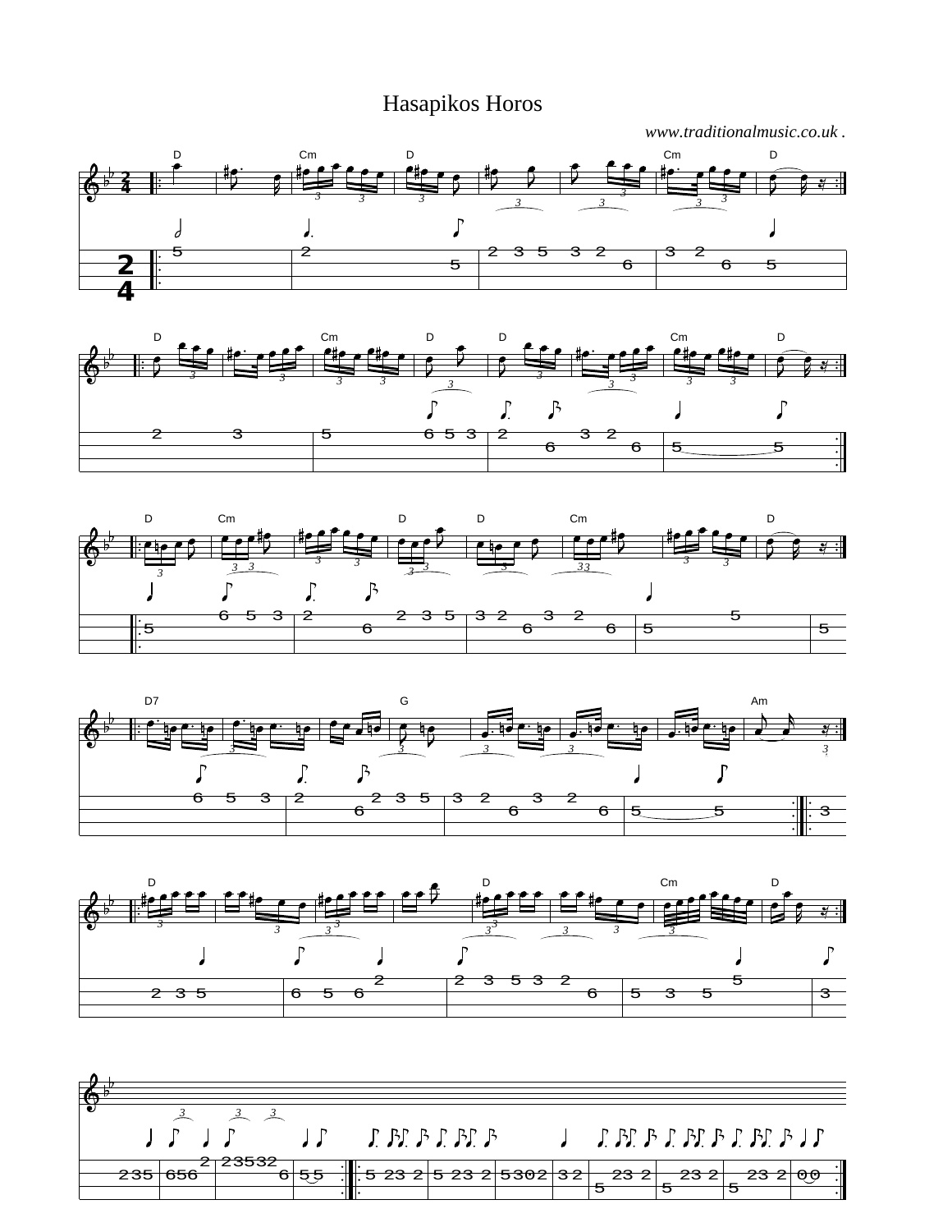## Hasapikos Horos